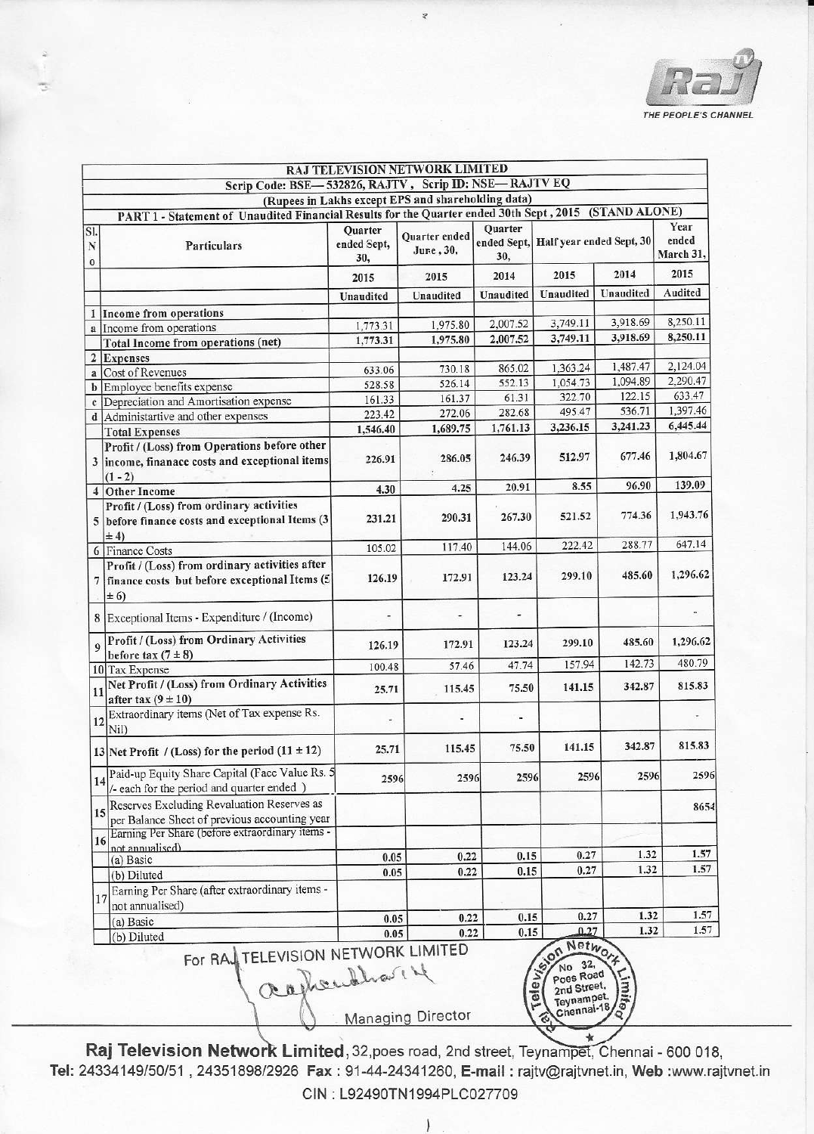

|                | Scrip Code: BSE-532826, RAJTV, Scrip ID: NSE-RAJTV EQ                                                      |                          | RAJ TELEVISION NETWORK LIMITED                     |           |                                                                          |           |           |
|----------------|------------------------------------------------------------------------------------------------------------|--------------------------|----------------------------------------------------|-----------|--------------------------------------------------------------------------|-----------|-----------|
|                |                                                                                                            |                          | (Rupees in Lakhs except EPS and shareholding data) |           |                                                                          |           |           |
|                | PART 1 - Statement of Unaudited Financial Results for the Quarter ended 30th Sept, 2015 (STAND ALONE)      |                          |                                                    |           |                                                                          |           |           |
|                |                                                                                                            | Quarter                  |                                                    | Quarter   |                                                                          |           | Year      |
| SI.<br>N       | Particulars                                                                                                | ended Sept,              | Quarter ended                                      |           | ended Sept, Half year ended Sept, 30                                     |           | ended     |
|                |                                                                                                            | 30,                      | June, 30,                                          | 30,       |                                                                          |           | March 31, |
| $\bf{0}$       |                                                                                                            | 2015                     | 2015                                               | 2014      | 2015                                                                     | 2014      | 2015      |
|                |                                                                                                            | Unaudited                | Unaudited                                          | Unaudited | Unaudited                                                                | Unaudited | Audited   |
|                | 1 Income from operations                                                                                   |                          |                                                    |           |                                                                          |           |           |
| $\mathbf{a}$   | Income from operations                                                                                     | 1,773.31                 | 1,975.80                                           | 2,007.52  | 3,749.11                                                                 | 3,918.69  | 8,250.11  |
|                | Total Income from operations (net)                                                                         | 1,773.31                 | 1,975.80                                           | 2,007.52  | 3,749.11                                                                 | 3,918.69  | 8,250.11  |
| $\overline{2}$ | Expenses                                                                                                   |                          |                                                    |           |                                                                          |           |           |
| $\mathbf{a}$   | Cost of Revenues                                                                                           | 633.06                   | 730.18                                             | 865.02    | 1,363.24                                                                 | 1,487.47  | 2,124.04  |
| b              | Employee benefits expense                                                                                  | 528.58                   | 526.14                                             | 552.13    | 1,054.73                                                                 | 1,094.89  | 2,290.47  |
| $\mathbf{c}$   | Depreciation and Amortisation expense                                                                      | 161.33                   | 161.37                                             | 61.31     | 322.70                                                                   | 122.15    | 633.47    |
|                | Administartive and other expenses                                                                          | 223.42                   | 272.06                                             | 282.68    | 495.47                                                                   | 536.71    | 1,397.46  |
|                | <b>Total Expenses</b>                                                                                      | 1,546.40                 | 1,689.75                                           | 1,761.13  | 3,236.15                                                                 | 3,241.23  | 6,445.44  |
|                | Profit / (Loss) from Operations before other                                                               |                          |                                                    |           |                                                                          |           |           |
|                | 3  income, finanace costs and exceptional items                                                            | 226.91                   | 286.05                                             | 246.39    | 512.97                                                                   | 677.46    | 1,804.67  |
| $\overline{4}$ | $(1 - 2)$<br>Other Income                                                                                  | 4.30                     | 4.25                                               | 20.91     | 8.55                                                                     | 96.90     | 139.09    |
|                | Profit / (Loss) from ordinary activities                                                                   |                          |                                                    |           |                                                                          |           |           |
|                | before finance costs and exceptional Items (3                                                              | 231.21                   | 290.31                                             | 267.30    | 521.52                                                                   | 774.36    | 1,943.76  |
|                | $\pm 4$                                                                                                    | 105.02                   | 117.40                                             | 144.06    | 222.42                                                                   | 288.77    | 647.14    |
|                | 6 Finance Costs                                                                                            |                          |                                                    |           |                                                                          |           |           |
| 7              | Profit / (Loss) from ordinary activities after<br>finance costs but before exceptional Items (5<br>$\pm 6$ | 126.19                   | 172.91                                             | 123.24    | 299.10                                                                   | 485.60    | 1,296.62  |
|                | Exceptional Items - Expenditure / (Income)                                                                 |                          |                                                    |           |                                                                          |           |           |
|                | Profit / (Loss) from Ordinary Activities<br>before tax $(7 \pm 8)$                                         | 126.19                   | 172.91                                             | 123.24    | 299.10                                                                   | 485.60    | 1,296.62  |
|                | 10 Tax Expense                                                                                             | 100.48                   | 57.46                                              | 47.74     | 157.94                                                                   | 142.73    | 480.79    |
| 11             | Net Profit / (Loss) from Ordinary Activities<br>after tax $(9 \pm 10)$                                     | 25.71                    | 115.45                                             | 75.50     | 141.15                                                                   | 342.87    | 815.83    |
| 12             | Extraordinary items (Net of Tax expense Rs.<br>Nil)                                                        | $\overline{\phantom{a}}$ |                                                    |           |                                                                          |           |           |
|                | 13 Net Profit / (Loss) for the period $(11 \pm 12)$                                                        | 25.71                    | 115.45                                             | 75.50     | 141.15                                                                   | 342.87    | 815.83    |
| 14             | Paid-up Equity Share Capital (Face Value Rs. 5<br>/- each for the period and quarter ended )               | 2596                     | 2596                                               | 2596      | 2596                                                                     | 2596      | 2596      |
| 15             | Reserves Excluding Revaluation Reserves as<br>per Balance Sheet of previous accounting year                |                          |                                                    |           |                                                                          |           | 8654      |
| 16             | Earning Per Share (before extraordinary items -                                                            |                          |                                                    |           |                                                                          |           |           |
|                | not annualised)                                                                                            |                          | 0.22                                               | 0.15      | 0.27                                                                     | 1.32      | 1.57      |
|                | (a) Basic<br>(b) Diluted                                                                                   | 0.05<br>0.05             | 0.22                                               | 0.15      | 0.27                                                                     | 1.32      | 1.57      |
|                | Earning Per Share (after extraordinary items -                                                             |                          |                                                    |           |                                                                          |           |           |
| 17             | not annualised)                                                                                            |                          |                                                    |           |                                                                          |           |           |
|                | (a) Basic                                                                                                  | 0.05                     | 0.22                                               | 0.15      | 0.27                                                                     | 1.32      | 1.57      |
|                | (b) Diluted                                                                                                | 0.05                     | 0.22                                               | 0.15      | 0.27                                                                     | 1.32      | 1.57      |
|                | For RAL TELEVISION NETWORK LIMITED<br>agherithat 4                                                         |                          | Managing Director                                  |           | Son Network<br>Poes Road<br>2nd Street,<br>ō<br>Teynampet,<br>Chennal-18 | Vmiteo    |           |

ź

Raj Television Network Limited, 32, poes road, 2nd street, Teynampet, Chennai - 600 018, Tel: 24334149/50/51, 24351898/2926 Fax: 91-44-24341260, E-mail: rajtv@rajtvnet.in, Web:www.rajtvnet.in CIN: L92490TN1994PLC027709

**Managing Director** 

۱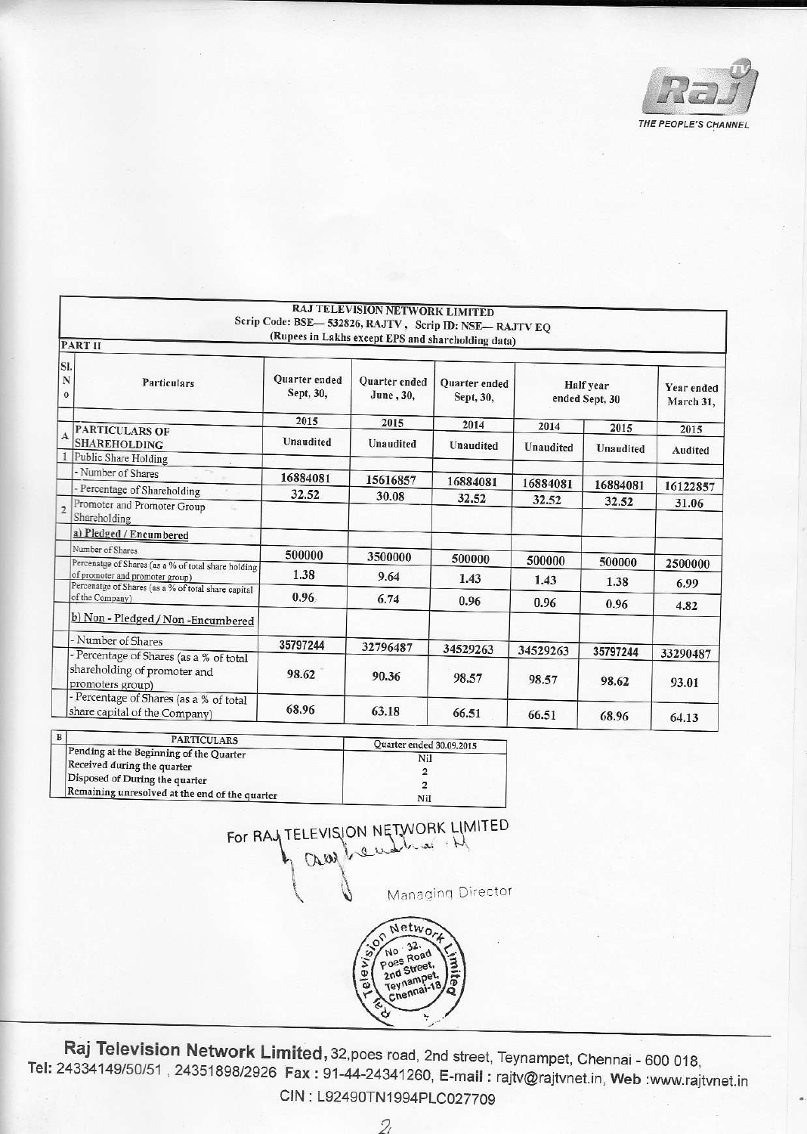

|                      |                                                                                           | Scrip Code: BSE-532826, RAJTV, Scrip ID: NSE-RAJTV EQ | RAJ TELEVISION NETWORK LIMITED                     |                            |                             |                |                         |
|----------------------|-------------------------------------------------------------------------------------------|-------------------------------------------------------|----------------------------------------------------|----------------------------|-----------------------------|----------------|-------------------------|
|                      |                                                                                           |                                                       | (Rupees in Lakhs except EPS and shareholding data) |                            |                             |                |                         |
|                      | <b>PART II</b>                                                                            |                                                       |                                                    |                            |                             |                |                         |
| SI.<br>N<br>$\bf{o}$ | Particulars                                                                               | <b>Ouarter</b> ended<br>Sept, 30,                     | <b>Quarter</b> ended<br>June, 30,                  | Quarter ended<br>Sept, 30, | Half year<br>ended Sept, 30 |                | Year ended<br>March 31, |
|                      |                                                                                           | 2015                                                  | 2015                                               | 2014                       | 2014                        | 2015           |                         |
| $\mathbf{A}$         | PARTICULARS OF<br><b>SHAREHOLDING</b>                                                     | Unaudited                                             | Unaudited                                          | Unaudited                  | Unaudited                   | Unaudited      | 2015<br>Audited         |
|                      | Public Share Holding                                                                      |                                                       |                                                    |                            |                             |                |                         |
|                      | - Number of Shares                                                                        | 16884081                                              | 15616857                                           | 16884081                   | 16884081                    | 16884081       |                         |
|                      | - Percentage of Shareholding                                                              | 32.52                                                 | 30.08                                              | 32.52                      | 32.52                       |                | 16122857                |
| $\overline{c}$       | Promoter and Promoter Group<br>Shareholding                                               |                                                       |                                                    |                            |                             | 32.52          | 31.06                   |
|                      | a) Pledged / Encumbered                                                                   |                                                       |                                                    |                            |                             |                |                         |
|                      | Number of Shares                                                                          | 500000                                                | 3500000                                            | 500000                     | 500000                      |                |                         |
|                      | Percenatge of Shares (as a % of total share holding<br>of promoter and promoter group)    | 1.38                                                  | 9.64                                               | 1.43                       | 1.43                        | 500000<br>1.38 | 2500000<br>6.99         |
|                      | Percenatge of Shares (as a % of total share capital<br>of the Company)                    | 0.96.                                                 | 6.74                                               | 0.96                       | 0.96                        | 0.96           | 4.82                    |
|                      | b) Non - Pledged / Non - Encumbered                                                       |                                                       |                                                    |                            |                             |                |                         |
|                      | - Number of Shares                                                                        | 35797244                                              | 32796487                                           | 34529263                   | 34529263                    | 35797244       | 33290487                |
|                      | Percentage of Shares (as a % of total<br>shareholding of promoter and<br>promoters group) | 98.62                                                 | 90.36                                              | 98.57                      | 98.57                       | 98.62          | 93.01                   |
|                      | - Percentage of Shares (as a % of total<br>share capital of the Company)                  | 68.96                                                 | 63.18                                              | 66.51                      | 66.51                       | 68.96          | 64.13                   |

| <b>PARTICULARS</b>                                                               | Quarter ended 30.09.2015<br>Nil |  |  |
|----------------------------------------------------------------------------------|---------------------------------|--|--|
| Pending at the Beginning of the Quarter                                          |                                 |  |  |
| Received during the quarter                                                      |                                 |  |  |
| Disposed of During the quarter<br>Remaining unresolved at the end of the quarter |                                 |  |  |
|                                                                                  | Nil                             |  |  |

FOR RAYTELEVISION NETWORK LIMITED CAW Managing Director

**PO** No. 32.

ā

Raj Television Network Limited, 32, poes road, 2nd street, Teynampet, Chennai - 600 018, Tel: 24334149/50/51, 24351898/2926 Fax: 91-44-24341260, E-mail: rajtv@rajtvnet.in, Web:www.rajtvnet.in CIN: L92490TN1994PLC027709

9

Netwo

No 32.<br>Poes Road<br>2nd Street,<br>Teynampet,<br>Chennai-18

 $\overline{2}$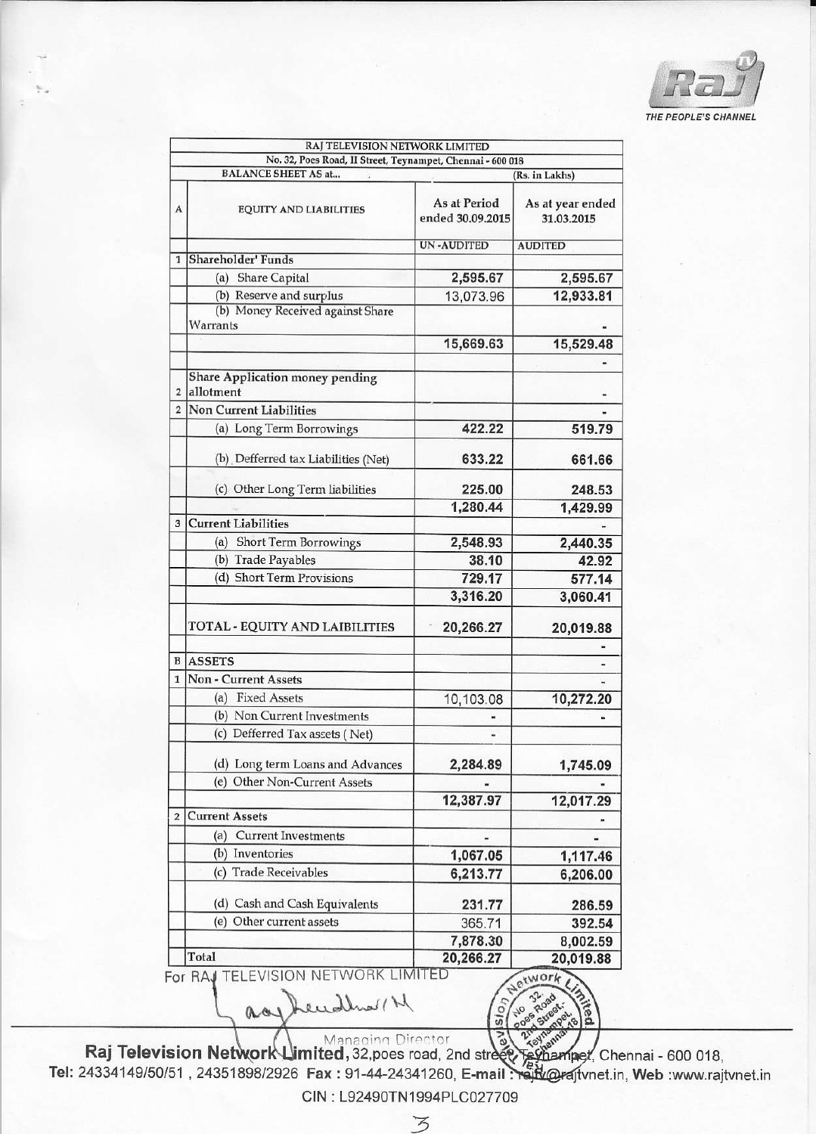

|                         | No. 32, Poes Road, II Street, Teynampet, Chennai - 600 018 |                                  |                                |  |  |
|-------------------------|------------------------------------------------------------|----------------------------------|--------------------------------|--|--|
|                         | <b>BALANCE SHEET AS at</b>                                 | (Rs. in Lakhs)                   |                                |  |  |
| A                       | <b>EQUITY AND LIABILITIES</b>                              | As at Period<br>ended 30.09.2015 | As at year ended<br>31.03.2015 |  |  |
|                         |                                                            | <b>UN-AUDITED</b>                | <b>AUDITED</b>                 |  |  |
| $\mathbf{1}$            | Shareholder' Funds                                         |                                  |                                |  |  |
|                         | <b>Share Capital</b><br>(a)                                | 2,595.67                         | 2,595.67                       |  |  |
|                         | (b) Reserve and surplus                                    | 13,073.96                        | 12,933.81                      |  |  |
|                         | (b) Money Received against Share<br>Warrants               |                                  |                                |  |  |
|                         |                                                            | 15,669.63                        | 15,529.48                      |  |  |
|                         |                                                            |                                  |                                |  |  |
| $\overline{2}$          | Share Application money pending<br>allotment               |                                  |                                |  |  |
| $\overline{2}$          | Non Current Liabilities                                    |                                  |                                |  |  |
|                         | (a) Long Term Borrowings                                   | 422.22                           | 519.79                         |  |  |
|                         | (b) Defferred tax Liabilities (Net)                        | 633.22                           | 661.66                         |  |  |
|                         | (c) Other Long Term liabilities                            | 225.00                           | 248.53                         |  |  |
|                         |                                                            | 1,280.44                         | 1,429.99                       |  |  |
| 3                       | <b>Current Liabilities</b>                                 |                                  |                                |  |  |
|                         | <b>Short Term Borrowings</b><br>(a)                        | 2,548.93                         | 2,440.35                       |  |  |
|                         | (b) Trade Payables                                         | 38.10                            | 42.92                          |  |  |
|                         | (d) Short Term Provisions                                  | 729.17                           | 577.14                         |  |  |
|                         |                                                            | 3,316.20                         | 3,060.41                       |  |  |
|                         | TOTAL - EQUITY AND LAIBILITIES                             | 20,266.27                        | 20,019.88                      |  |  |
| B                       | <b>ASSETS</b>                                              |                                  |                                |  |  |
| $\mathbf{1}$            | <b>Non - Current Assets</b>                                |                                  |                                |  |  |
|                         | (a) Fixed Assets                                           |                                  |                                |  |  |
|                         | (b) Non Current Investments                                | 10,103.08                        | 10,272.20                      |  |  |
|                         |                                                            |                                  |                                |  |  |
|                         | (c) Defferred Tax assets (Net)                             | ٠                                |                                |  |  |
|                         | (d) Long term Loans and Advances                           | 2,284.89                         | 1,745.09                       |  |  |
|                         | (e) Other Non-Current Assets                               |                                  |                                |  |  |
|                         |                                                            | 12,387.97                        | 12,017.29                      |  |  |
| $\overline{\mathbf{c}}$ | <b>Current Assets</b>                                      |                                  |                                |  |  |
|                         | <b>Current Investments</b><br>(a)                          |                                  |                                |  |  |
|                         | (b) Inventories                                            | 1,067.05                         | 1,117.46                       |  |  |
|                         | (c) Trade Receivables                                      | 6,213.77                         | 6,206.00                       |  |  |
|                         | (d) Cash and Cash Equivalents                              | 231.77                           | 286.59                         |  |  |
|                         | (e) Other current assets                                   | 365.71                           | 392.54                         |  |  |
|                         |                                                            | 7,878.30                         | 8,002.59                       |  |  |
|                         | Total                                                      | 20,266.27                        | 20,019.88                      |  |  |
|                         | For RAJ TELEVISION NETWORK LIMITED                         |                                  | atwork                         |  |  |

Deudles / N aas.

 $\overline{\mathbb{F}}$ Raj Television Network Limited, 32, poes road, 2nd street Raj Television Network Limited, 32, poes road, 2nd street, Textian met, Chennai - 600 018,<br>Tel: 24334149/50/51, 24351898/2926 Fax: 91-44-24341260, E-mail: reft @rajtvnet.in, Web:www.rajtvnet.in

 $\overline{v}$ 

CIN: L92490TN1994PLC027709

3